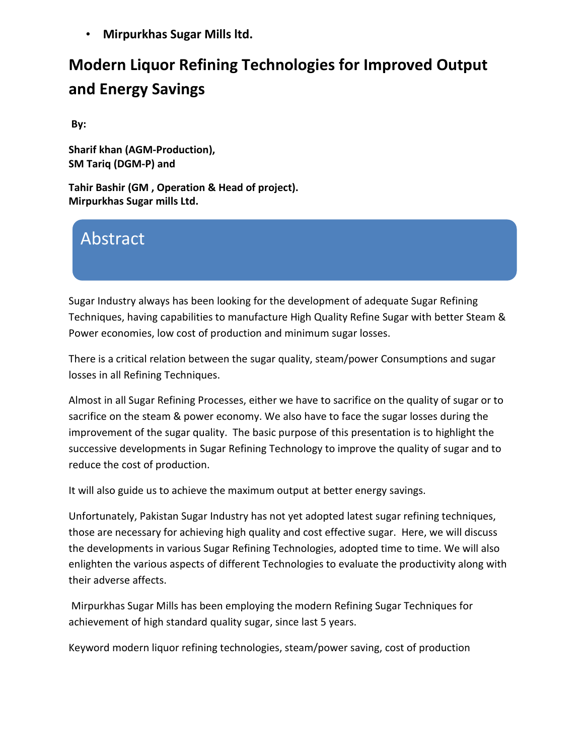• **Mirpurkhas Sugar Mills ltd.**

## **Modern Liquor Refining Technologies for Improved Output and Energy Savings**

**By:** 

**Sharif khan (AGM-Production), SM Tariq (DGM-P) and**

**Tahir Bashir (GM , Operation & Head of project). Mirpurkhas Sugar mills Ltd.**

## Abstract

Sugar Industry always has been looking for the development of adequate Sugar Refining Techniques, having capabilities to manufacture High Quality Refine Sugar with better Steam & Power economies, low cost of production and minimum sugar losses.

There is a critical relation between the sugar quality, steam/power Consumptions and sugar losses in all Refining Techniques.

Almost in all Sugar Refining Processes, either we have to sacrifice on the quality of sugar or to sacrifice on the steam & power economy. We also have to face the sugar losses during the improvement of the sugar quality. The basic purpose of this presentation is to highlight the successive developments in Sugar Refining Technology to improve the quality of sugar and to reduce the cost of production.

It will also guide us to achieve the maximum output at better energy savings.

Unfortunately, Pakistan Sugar Industry has not yet adopted latest sugar refining techniques, those are necessary for achieving high quality and cost effective sugar. Here, we will discuss the developments in various Sugar Refining Technologies, adopted time to time. We will also enlighten the various aspects of different Technologies to evaluate the productivity along with their adverse affects.

Mirpurkhas Sugar Mills has been employing the modern Refining Sugar Techniques for achievement of high standard quality sugar, since last 5 years.

Keyword modern liquor refining technologies, steam/power saving, cost of production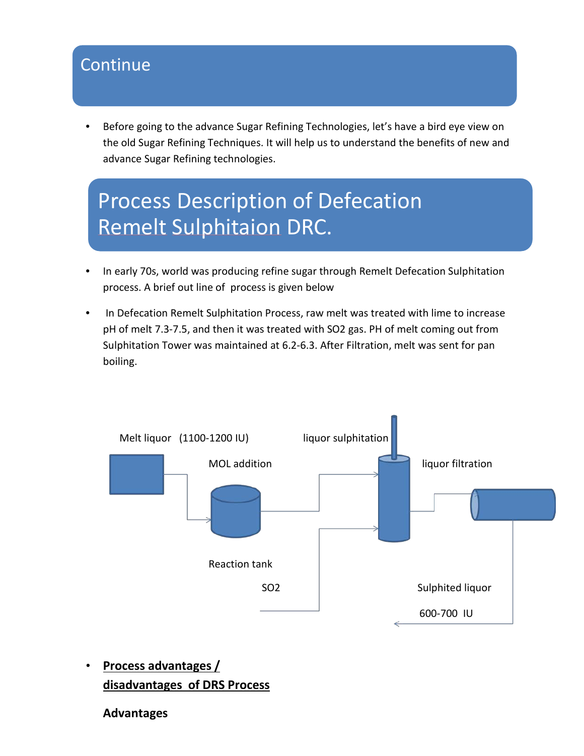## Continue

Before going to the advance Sugar Refining Technologies, let's have a bird eye view on the old Sugar Refining Techniques. It will help us to understand the benefits of new and advance Sugar Refining technologies.

# Process Description of Defecation Remelt Sulphitaion DRC.

- In early 70s, world was producing refine sugar through Remelt Defecation Sulphitation process. A brief out line of process is given below
- In Defecation Remelt Sulphitation Process, raw melt was treated with lime to increase pH of melt 7.3-7.5, and then it was treated with SO2 gas. PH of melt coming out from Sulphitation Tower was maintained at 6.2-6.3. After Filtration, melt was sent for pan boiling.



• **Process advantages / disadvantages of DRS Process** 

#### **Advantages**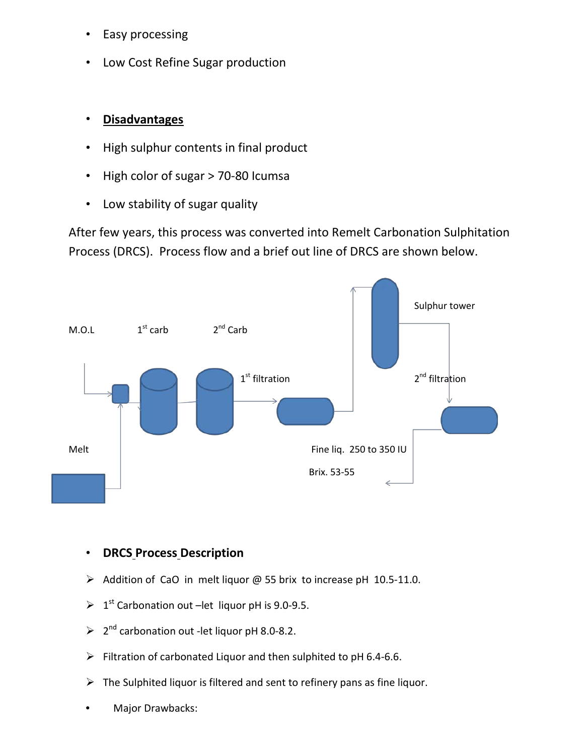- Easy processing
- Low Cost Refine Sugar production

#### • **Disadvantages**

- High sulphur contents in final product
- High color of sugar > 70-80 Icumsa
- Low stability of sugar quality

After few years, this process was converted into Remelt Carbonation Sulphitation Process (DRCS). Process flow and a brief out line of DRCS are shown below.



#### • **DRCS Process Description**

- $\triangleright$  Addition of CaO in melt liquor @ 55 brix to increase pH 10.5-11.0.
- $\triangleright$  1<sup>st</sup> Carbonation out –let liquor pH is 9.0-9.5.
- $\geqslant$  2<sup>nd</sup> carbonation out -let liquor pH 8.0-8.2.
- $\triangleright$  Filtration of carbonated Liquor and then sulphited to pH 6.4-6.6.
- $\triangleright$  The Sulphited liquor is filtered and sent to refinery pans as fine liquor.
- Major Drawbacks: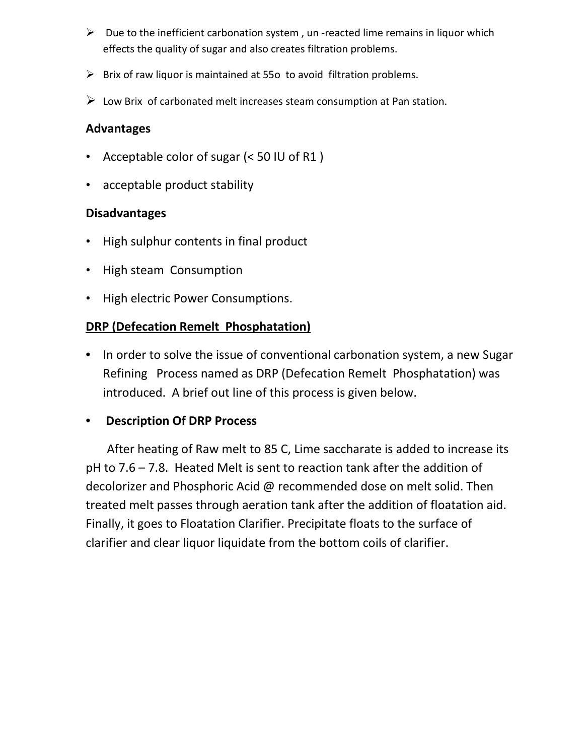- $\triangleright$  Due to the inefficient carbonation system, un-reacted lime remains in liquor which effects the quality of sugar and also creates filtration problems.
- $\triangleright$  Brix of raw liquor is maintained at 550 to avoid filtration problems.
- $\triangleright$  Low Brix of carbonated melt increases steam consumption at Pan station.

#### **Advantages**

- Acceptable color of sugar (< 50 IU of R1 )
- acceptable product stability

#### **Disadvantages**

- High sulphur contents in final product
- High steam Consumption
- High electric Power Consumptions.

#### **DRP (Defecation Remelt Phosphatation)**

• In order to solve the issue of conventional carbonation system, a new Sugar Refining Process named as DRP (Defecation Remelt Phosphatation) was introduced. A brief out line of this process is given below.

#### • **Description Of DRP Process**

 After heating of Raw melt to 85 C, Lime saccharate is added to increase its pH to 7.6 – 7.8. Heated Melt is sent to reaction tank after the addition of decolorizer and Phosphoric Acid @ recommended dose on melt solid. Then treated melt passes through aeration tank after the addition of floatation aid. Finally, it goes to Floatation Clarifier. Precipitate floats to the surface of clarifier and clear liquor liquidate from the bottom coils of clarifier.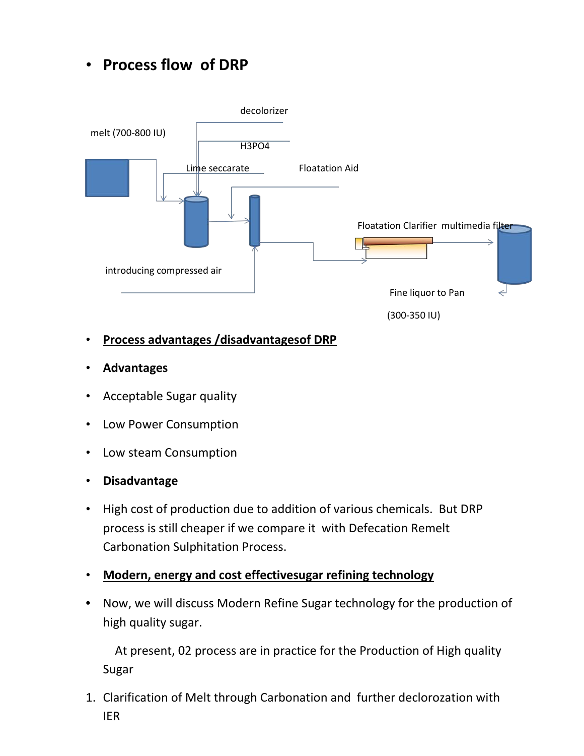• **Process flow of DRP** 



- **Process advantages /disadvantagesof DRP**
- **Advantages**
- Acceptable Sugar quality
- Low Power Consumption
- Low steam Consumption
- **Disadvantage**
- High cost of production due to addition of various chemicals. But DRP process is still cheaper if we compare it with Defecation Remelt Carbonation Sulphitation Process.
- **Modern, energy and cost effectivesugar refining technology**
- Now, we will discuss Modern Refine Sugar technology for the production of high quality sugar.

 At present, 02 process are in practice for the Production of High quality Sugar

1. Clarification of Melt through Carbonation and further declorozation with IER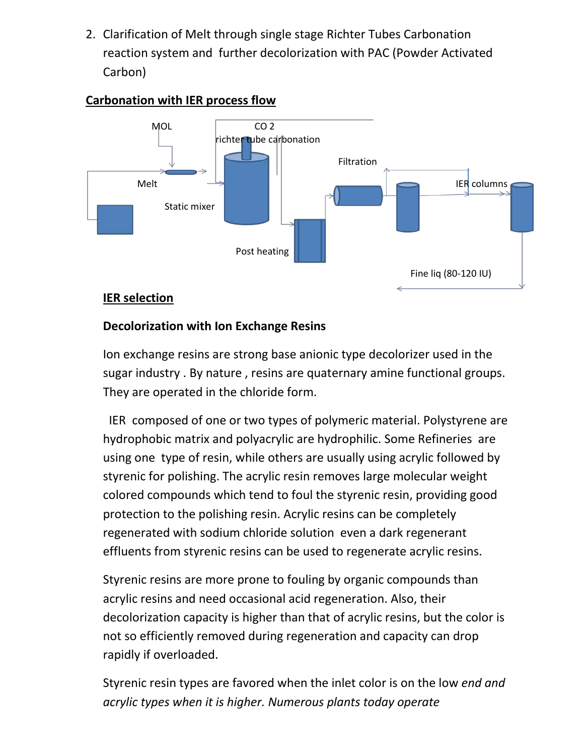2. Clarification of Melt through single stage Richter Tubes Carbonation reaction system and further decolorization with PAC (Powder Activated Carbon)



#### **Carbonation with IER process flow**

#### **IER selection**

#### **Decolorization with Ion Exchange Resins**

Ion exchange resins are strong base anionic type decolorizer used in the sugar industry . By nature , resins are quaternary amine functional groups. They are operated in the chloride form.

 IER composed of one or two types of polymeric material. Polystyrene are hydrophobic matrix and polyacrylic are hydrophilic. Some Refineries are using one type of resin, while others are usually using acrylic followed by styrenic for polishing. The acrylic resin removes large molecular weight colored compounds which tend to foul the styrenic resin, providing good protection to the polishing resin. Acrylic resins can be completely regenerated with sodium chloride solution even a dark regenerant effluents from styrenic resins can be used to regenerate acrylic resins.

Styrenic resins are more prone to fouling by organic compounds than acrylic resins and need occasional acid regeneration. Also, their decolorization capacity is higher than that of acrylic resins, but the color is not so efficiently removed during regeneration and capacity can drop rapidly if overloaded.

Styrenic resin types are favored when the inlet color is on the low *end and acrylic types when it is higher. Numerous plants today operate*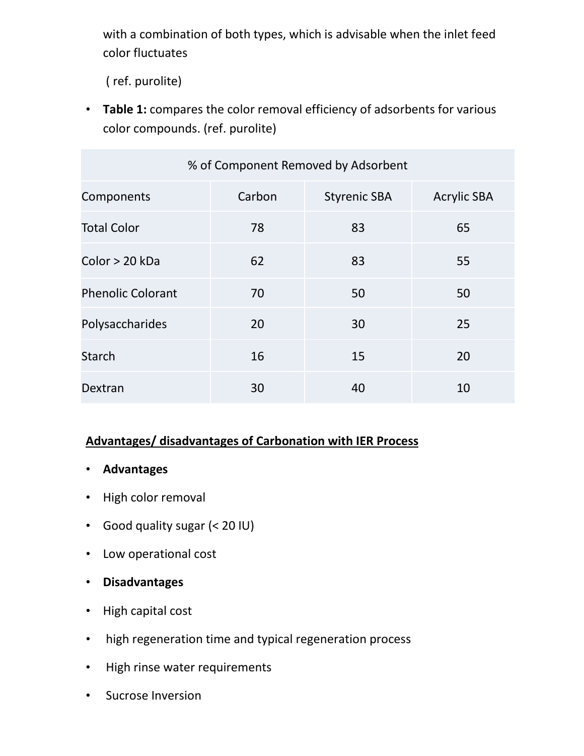with a combination of both types, which is advisable when the inlet feed color fluctuates

( ref. purolite)

• **Table 1:** compares the color removal efficiency of adsorbents for various color compounds. (ref. purolite)

| % of Component Removed by Adsorbent |        |                     |                    |  |  |  |  |  |  |
|-------------------------------------|--------|---------------------|--------------------|--|--|--|--|--|--|
| Components                          | Carbon | <b>Styrenic SBA</b> | <b>Acrylic SBA</b> |  |  |  |  |  |  |
| <b>Total Color</b>                  | 78     | 83                  | 65                 |  |  |  |  |  |  |
| Color > 20 kDa                      | 62     | 83                  | 55                 |  |  |  |  |  |  |
| <b>Phenolic Colorant</b>            | 70     | 50                  | 50                 |  |  |  |  |  |  |
| Polysaccharides                     | 20     | 30                  | 25                 |  |  |  |  |  |  |
| <b>Starch</b>                       | 16     | 15                  | 20                 |  |  |  |  |  |  |
| Dextran                             | 30     | 40                  | 10                 |  |  |  |  |  |  |

#### **Advantages/ disadvantages of Carbonation with IER Process**

- **Advantages**
- High color removal
- Good quality sugar (< 20 IU)
- Low operational cost
- **Disadvantages**
- High capital cost
- high regeneration time and typical regeneration process
- High rinse water requirements
- Sucrose Inversion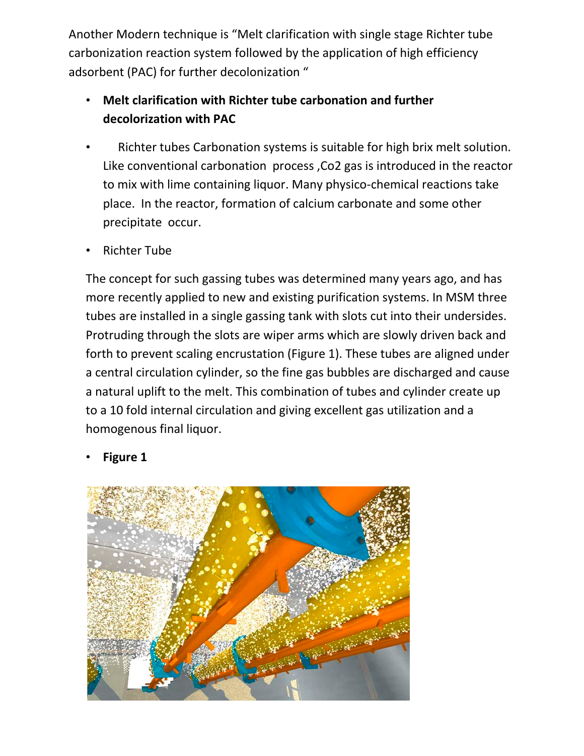Another Modern technique is "Melt clarification with single stage Richter tube carbonization reaction system followed by the application of high efficiency adsorbent (PAC) for further decolonization "

- **Melt clarification with Richter tube carbonation and further decolorization with PAC**
- Richter tubes Carbonation systems is suitable for high brix melt solution. Like conventional carbonation process ,Co2 gas is introduced in the reactor to mix with lime containing liquor. Many physico-chemical reactions take place. In the reactor, formation of calcium carbonate and some other precipitate occur.
- Richter Tube

The concept for such gassing tubes was determined many years ago, and has more recently applied to new and existing purification systems. In MSM three tubes are installed in a single gassing tank with slots cut into their undersides. Protruding through the slots are wiper arms which are slowly driven back and forth to prevent scaling encrustation (Figure 1). These tubes are aligned under a central circulation cylinder, so the fine gas bubbles are discharged and cause a natural uplift to the melt. This combination of tubes and cylinder create up to a 10 fold internal circulation and giving excellent gas utilization and a homogenous final liquor.

**Figure 1** 

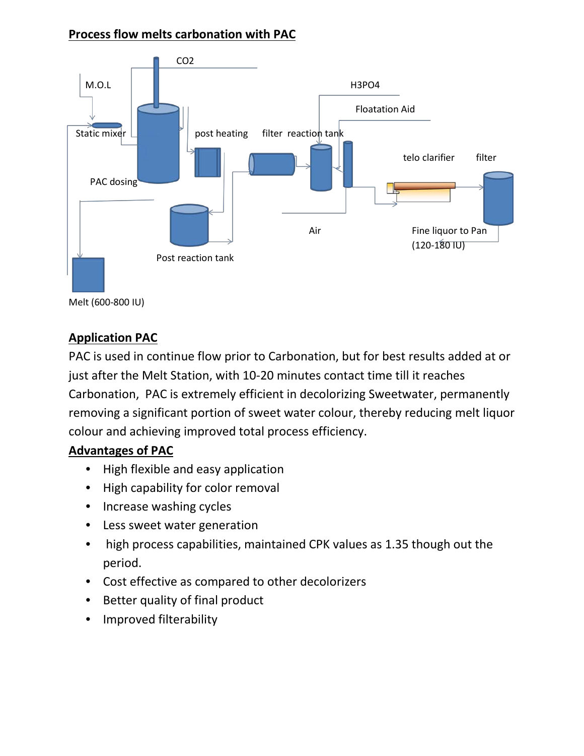#### **Process flow melts carbonation with PAC**



#### **Application PAC**

PAC is used in continue flow prior to Carbonation, but for best results added at or just after the Melt Station, with 10-20 minutes contact time till it reaches Carbonation, PAC is extremely efficient in decolorizing Sweetwater, permanently removing a significant portion of sweet water colour, thereby reducing melt liquor colour and achieving improved total process efficiency.

#### **Advantages of PAC**

- High flexible and easy application
- High capability for color removal
- Increase washing cycles
- Less sweet water generation
- high process capabilities, maintained CPK values as 1.35 though out the period.
- Cost effective as compared to other decolorizers
- Better quality of final product
- Improved filterability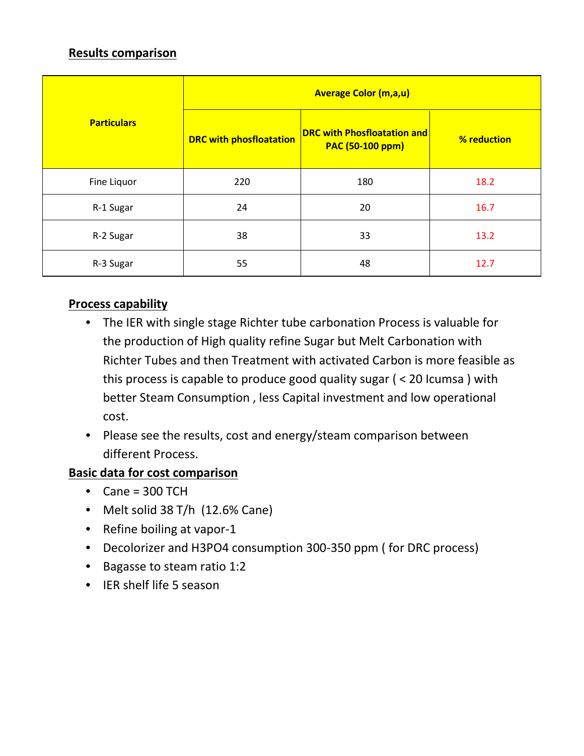#### **Results comparison**

|                    | <b>Average Color (m,a,u)</b>   |                                                               |             |  |  |  |  |  |  |
|--------------------|--------------------------------|---------------------------------------------------------------|-------------|--|--|--|--|--|--|
| <b>Particulars</b> | <b>DRC with phosfloatation</b> | <b>DRC with Phosfloatation and</b><br><b>PAC (50-100 ppm)</b> | % reduction |  |  |  |  |  |  |
| Fine Liquor        | 220                            | 180                                                           | 18.2        |  |  |  |  |  |  |
| R-1 Sugar          | 24                             | 20                                                            | 16.7        |  |  |  |  |  |  |
| R-2 Sugar          | 38                             | 33                                                            | 13.2        |  |  |  |  |  |  |
| R-3 Sugar          | 55                             | 48                                                            | 12.7        |  |  |  |  |  |  |

#### **Process capability**

- The IER with single stage Richter tube carbonation Process is valuable for the production of High quality refine Sugar but Melt Carbonation with Richter Tubes and then Treatment with activated Carbon is more feasible as this process is capable to produce good quality sugar ( < 20 Icumsa ) with better Steam Consumption , less Capital investment and low operational cost.
- Please see the results, cost and energy/steam comparison between different Process.

#### **Basic data for cost comparison**

- $\bullet$  Cane = 300 TCH
- Melt solid 38 T/h (12.6% Cane)
- Refine boiling at vapor-1
- Decolorizer and H3PO4 consumption 300-350 ppm ( for DRC process)
- Bagasse to steam ratio 1:2
- IER shelf life 5 season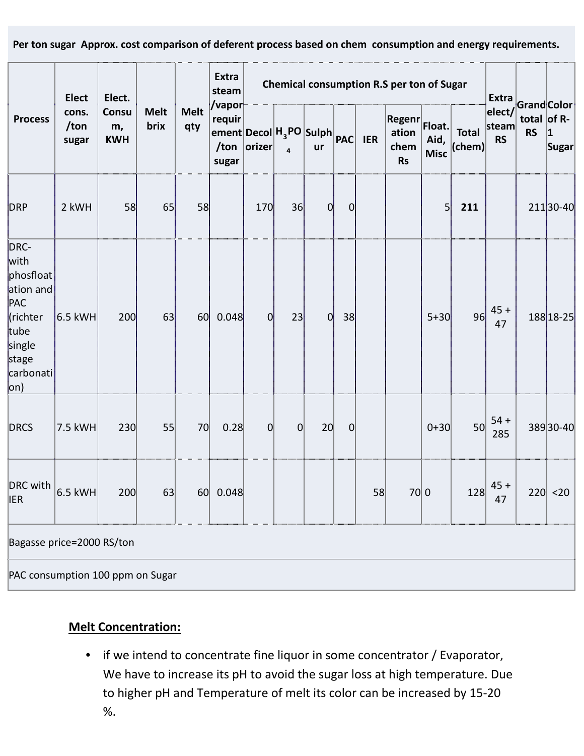**Per ton sugar Approx. cost comparison of deferent process based on chem consumption and energy requirements.** 

| <b>Process</b>                                                                                           | <b>Elect</b><br>cons.<br>/ton<br>sugar | Elect.<br><b>Consu</b><br>m,<br><b>KWH</b> | <b>Melt</b><br>brix | <b>Melt</b><br>qty | Extra<br>steam<br>/vapor<br>requir<br>$\frac{1}{2}$ ement Decol $H_3$ PO Sulph $\frac{1}{2}$ PAC IER<br>sugar | Chemical consumption R.S per ton of Sugar |                |                 |                |    |                                             |                               |                            |                                   |                                                         |                       |
|----------------------------------------------------------------------------------------------------------|----------------------------------------|--------------------------------------------|---------------------|--------------------|---------------------------------------------------------------------------------------------------------------|-------------------------------------------|----------------|-----------------|----------------|----|---------------------------------------------|-------------------------------|----------------------------|-----------------------------------|---------------------------------------------------------|-----------------------|
|                                                                                                          |                                        |                                            |                     |                    |                                                                                                               | /ton $ orizer $                           | $\overline{a}$ | ur              |                |    | <b>Regenr</b><br>ation<br>chem<br><b>Rs</b> | Float.<br>Aid,<br><b>Misc</b> | <b>Total</b><br>$ $ (chem) | steam<br><b>RS</b>                | Extra<br>elect/GrandColor<br>total of $R-$<br><b>RS</b> | $\mathbf 1$<br> Sugar |
| <b>DRP</b>                                                                                               | 2 kWH                                  | 58                                         | 65                  | 58                 |                                                                                                               | 170                                       | 36             | 0               | $\overline{0}$ |    |                                             | 5                             | 211                        |                                   |                                                         | 21130-40              |
| DRC-<br>with<br>phosfloat<br>ation and<br>PAC<br>(richter<br>tube<br>single<br>stage<br>carbonati<br>on) | 6.5 kWH                                | 200                                        | 63                  | 60                 | 0.048                                                                                                         | $\overline{0}$                            | 23             | 0               | 38             |    |                                             | $5 + 30$                      | 96                         | $45 +$<br>47                      |                                                         | 188 18 - 25           |
| <b>DRCS</b>                                                                                              | 7.5 kWH                                | 230                                        | 55                  | 70                 | 0.28                                                                                                          | 0                                         | $\overline{0}$ | 20 <sup>1</sup> | 0              |    |                                             | $0 + 30$                      | 50                         | $54 +$<br>285                     |                                                         | 38930-40              |
| DRC with $ _{6.5 \text{ kWh}} $<br><b>IER</b>                                                            |                                        | 200                                        | 63                  |                    | 60 0.048                                                                                                      |                                           |                |                 |                | 58 | 70 0                                        |                               |                            | $128 \overline{\smash)45+}$<br>47 |                                                         | 220 <20               |
| Bagasse price=2000 RS/ton                                                                                |                                        |                                            |                     |                    |                                                                                                               |                                           |                |                 |                |    |                                             |                               |                            |                                   |                                                         |                       |
| PAC consumption 100 ppm on Sugar                                                                         |                                        |                                            |                     |                    |                                                                                                               |                                           |                |                 |                |    |                                             |                               |                            |                                   |                                                         |                       |

### **Melt Concentration:**

• if we intend to concentrate fine liquor in some concentrator / Evaporator, We have to increase its pH to avoid the sugar loss at high temperature. Due to higher pH and Temperature of melt its color can be increased by 15-20 %.